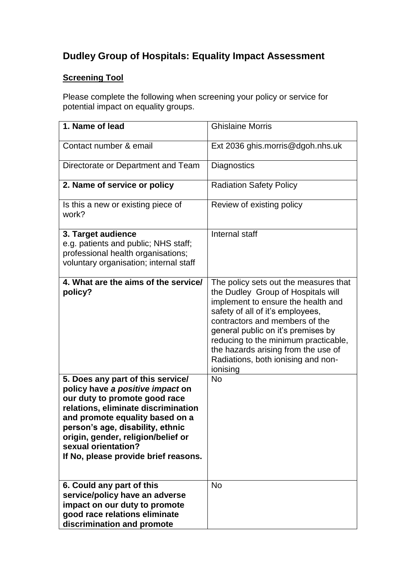## **Dudley Group of Hospitals: Equality Impact Assessment**

## **Screening Tool**

Please complete the following when screening your policy or service for potential impact on equality groups.

| 1. Name of lead                                                                                                                                                                                                                                                                                                           | <b>Ghislaine Morris</b>                                                                                                                                                                                                                                                                                                                                        |
|---------------------------------------------------------------------------------------------------------------------------------------------------------------------------------------------------------------------------------------------------------------------------------------------------------------------------|----------------------------------------------------------------------------------------------------------------------------------------------------------------------------------------------------------------------------------------------------------------------------------------------------------------------------------------------------------------|
| Contact number & email                                                                                                                                                                                                                                                                                                    | Ext 2036 ghis.morris@dgoh.nhs.uk                                                                                                                                                                                                                                                                                                                               |
| Directorate or Department and Team                                                                                                                                                                                                                                                                                        | Diagnostics                                                                                                                                                                                                                                                                                                                                                    |
| 2. Name of service or policy                                                                                                                                                                                                                                                                                              | <b>Radiation Safety Policy</b>                                                                                                                                                                                                                                                                                                                                 |
| Is this a new or existing piece of<br>work?                                                                                                                                                                                                                                                                               | Review of existing policy                                                                                                                                                                                                                                                                                                                                      |
| 3. Target audience<br>e.g. patients and public; NHS staff;<br>professional health organisations;<br>voluntary organisation; internal staff                                                                                                                                                                                | Internal staff                                                                                                                                                                                                                                                                                                                                                 |
| 4. What are the aims of the service/<br>policy?                                                                                                                                                                                                                                                                           | The policy sets out the measures that<br>the Dudley Group of Hospitals will<br>implement to ensure the health and<br>safety of all of it's employees,<br>contractors and members of the<br>general public on it's premises by<br>reducing to the minimum practicable,<br>the hazards arising from the use of<br>Radiations, both ionising and non-<br>ionising |
| 5. Does any part of this service/<br>policy have a positive impact on<br>our duty to promote good race<br>relations, eliminate discrimination<br>and promote equality based on a<br>person's age, disability, ethnic<br>origin, gender, religion/belief or<br>sexual orientation?<br>If No, please provide brief reasons. | <b>No</b>                                                                                                                                                                                                                                                                                                                                                      |
| 6. Could any part of this<br>service/policy have an adverse<br>impact on our duty to promote<br>good race relations eliminate<br>discrimination and promote                                                                                                                                                               | <b>No</b>                                                                                                                                                                                                                                                                                                                                                      |